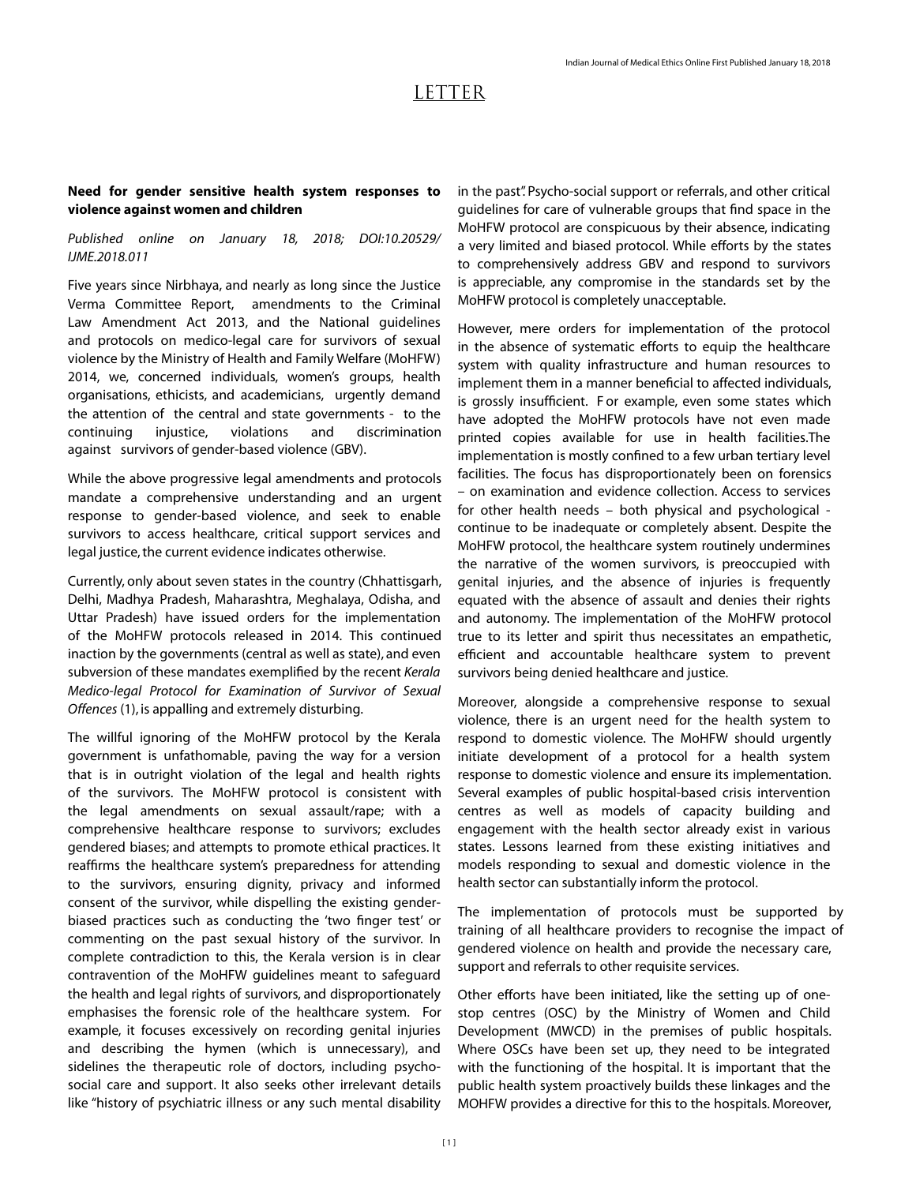## LETTER

## **Need for gender sensitive health system responses to violence against women and children**

## *Published online on January 18, 2018; DOI:10.20529/ IJME.2018.011*

Five years since Nirbhaya, and nearly as long since the Justice Verma Committee Report, amendments to the Criminal Law Amendment Act 2013, and the National guidelines and protocols on medico-legal care for survivors of sexual violence by the Ministry of Health and Family Welfare (MoHFW) 2014, we, concerned individuals, women's groups, health organisations, ethicists, and academicians, urgently demand the attention of the central and state governments - to the continuing injustice, violations and discrimination against survivors of gender-based violence (GBV).

While the above progressive legal amendments and protocols mandate a comprehensive understanding and an urgent response to gender-based violence, and seek to enable survivors to access healthcare, critical support services and legal justice, the current evidence indicates otherwise.

Currently, only about seven states in the country (Chhattisgarh, Delhi, Madhya Pradesh, Maharashtra, Meghalaya, Odisha, and Uttar Pradesh) have issued orders for the implementation of the MoHFW protocols released in 2014. This continued inaction by the governments (central as well as state), and even subversion of these mandates exemplified by the recent *Kerala Medico-legal Protocol for Examination of Survivor of Sexual Offences* (1), is appalling and extremely disturbing.

The willful ignoring of the MoHFW protocol by the Kerala government is unfathomable, paving the way for a version that is in outright violation of the legal and health rights of the survivors. The MoHFW protocol is consistent with the legal amendments on sexual assault/rape; with a comprehensive healthcare response to survivors; excludes gendered biases; and attempts to promote ethical practices. It reaffirms the healthcare system's preparedness for attending to the survivors, ensuring dignity, privacy and informed consent of the survivor, while dispelling the existing genderbiased practices such as conducting the 'two finger test' or commenting on the past sexual history of the survivor. In complete contradiction to this, the Kerala version is in clear contravention of the MoHFW guidelines meant to safeguard the health and legal rights of survivors, and disproportionately emphasises the forensic role of the healthcare system. For example, it focuses excessively on recording genital injuries and describing the hymen (which is unnecessary), and sidelines the therapeutic role of doctors, including psychosocial care and support. It also seeks other irrelevant details like "history of psychiatric illness or any such mental disability in the past". Psycho-social support or referrals, and other critical guidelines for care of vulnerable groups that find space in the MoHFW protocol are conspicuous by their absence, indicating a very limited and biased protocol. While efforts by the states to comprehensively address GBV and respond to survivors is appreciable, any compromise in the standards set by the MoHFW protocol is completely unacceptable.

However, mere orders for implementation of the protocol in the absence of systematic efforts to equip the healthcare system with quality infrastructure and human resources to implement them in a manner beneficial to affected individuals, is grossly insufficient. F or example, even some states which have adopted the MoHFW protocols have not even made printed copies available for use in health facilities.The implementation is mostly confined to a few urban tertiary level facilities. The focus has disproportionately been on forensics – on examination and evidence collection. Access to services for other health needs – both physical and psychological continue to be inadequate or completely absent. Despite the MoHFW protocol, the healthcare system routinely undermines the narrative of the women survivors, is preoccupied with genital injuries, and the absence of injuries is frequently equated with the absence of assault and denies their rights and autonomy. The implementation of the MoHFW protocol true to its letter and spirit thus necessitates an empathetic, efficient and accountable healthcare system to prevent survivors being denied healthcare and justice.

Moreover, alongside a comprehensive response to sexual violence, there is an urgent need for the health system to respond to domestic violence. The MoHFW should urgently initiate development of a protocol for a health system response to domestic violence and ensure its implementation. Several examples of public hospital-based crisis intervention centres as well as models of capacity building and engagement with the health sector already exist in various states. Lessons learned from these existing initiatives and models responding to sexual and domestic violence in the health sector can substantially inform the protocol.

The implementation of protocols must be supported by training of all healthcare providers to recognise the impact of gendered violence on health and provide the necessary care, support and referrals to other requisite services.

Other efforts have been initiated, like the setting up of onestop centres (OSC) by the Ministry of Women and Child Development (MWCD) in the premises of public hospitals. Where OSCs have been set up, they need to be integrated with the functioning of the hospital. It is important that the public health system proactively builds these linkages and the MOHFW provides a directive for this to the hospitals. Moreover,